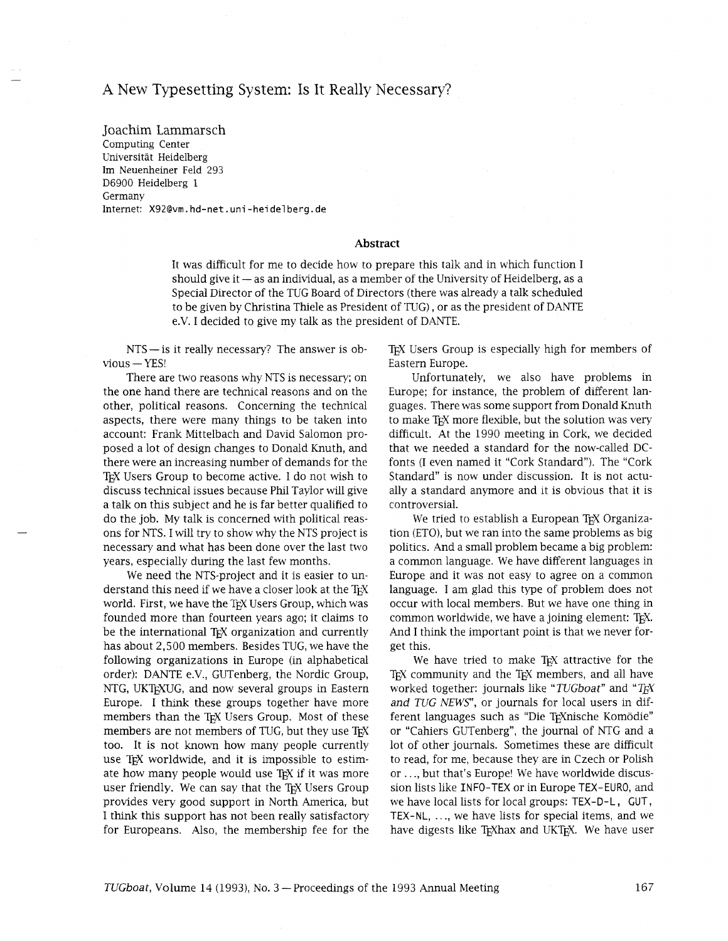## A New Typesetting System: Is It Really Necessary?

Joachim Larnmarsch Computing Center Universitat Heidelberg Im Neuenheiner Feld 293 D6900 Heidelberg 1 Germany Internet: X92@vm.hd-net.uni-heidelberg.de

## Abstract

It was difficult for me to decide how to prepare this talk and in whch function I should give it  $-$  as an individual, as a member of the University of Heidelberg, as a Special Director of the TUG Board of Directors (there was already a talk scheduled to be given by Christina Thiele as President of TUG), or as the president of DANTE e.V. I decided to give my talk as the president of DANTE.

NTS - is it really necessary? The answer is ob $vious -YES!$ 

There are two reasons why NTS is necessary; on the one hand there are technical reasons and on the other, political reasons. Concerning the technical aspects, there were many things to be taken into account: Frank Mittelbach and David Salomon proposed a lot of design changes to Donald Knuth, and there were an increasing number of demands for the TEX Users Group to become active. I do not wish to discuss technical issues because Phil Taylor will give a talk on this subject and he is far better qualified to do the job. My talk is concerned with political reasons for NTS. I will try to show why the NTS project is necessary and what has been done over the last two years, especially during the last few months.

We need the NTS-project and it is easier to understand this need if we have a closer look at the TEX world. First, we have the TEX Users Group, which was founded more than fourteen years ago; it claims to be the international TEX organization and currently has about 2,500 members. Besides TUG, we have the following organizations in Europe (in alphabetical order): DANTE e.V., GUTenberg, the Nordic Group, NTG, UKTEXUG, and now several groups in Eastern Europe. I think these groups together have more members than the TEX Users Group. Most of these members are not members of TUG, but they use TEX too. It is not known how many people currently use TEX worldwide, and it is impossible to estimate how many people would use T<sub>F</sub>X if it was more user friendly. We can say that the TFX Users Group provides very good support in North America, but I think this support has not been really satisfactory for Europeans. Also, the membership fee for the TEX Users Group is especially high for members of Eastern Europe.

Unfortunately, we also have problems in Europe; for instance, the problem of different languages. There was some support from Donald Knuth to make TFX more flexible, but the solution was very difficult. At the 1990 meeting in Cork, we decided that we needed a standard for the now-called DCfonts (I even named it "Cork Standard"). The "Cork Standard" is now under discussion. It is not actually a standard anymore and it is obvious that it is controversial.

We tried to establish a European TFX Organization (ETO), but we ran into the same problems as big politics. And a small problem became a big problem: a common language. We have different languages in Europe and it was not easy to agree on a common language. I am glad this type of problem does not occur with local members. But we have one thing in common worldwide, we have a joining element: TFX. And I think the important point is that we never forget this.

We have tried to make TEX attractive for the TEX community and the TEX members, and all have worked together: journals like " *TUGboat"* and " *TEX*  and TUG NEWS", or journals for local users in different languages such as "Die T<sub>E</sub>Xnische Komödie" or "Cahiers GUTenberg", the journal of NTG and a lot of other journals. Sometimes these are difficult to read, for me, because they are in Czech or Polish or . . ., but that's Europe! We have worldwide discussion lists like INFO-TEX or in Europe TEX-EURO, and we have local lists for local groups: TEX-D-L, CUT, TEX-NL,  $\dots$ , we have lists for special items, and we have digests like TEXhax and UKTEX. We have user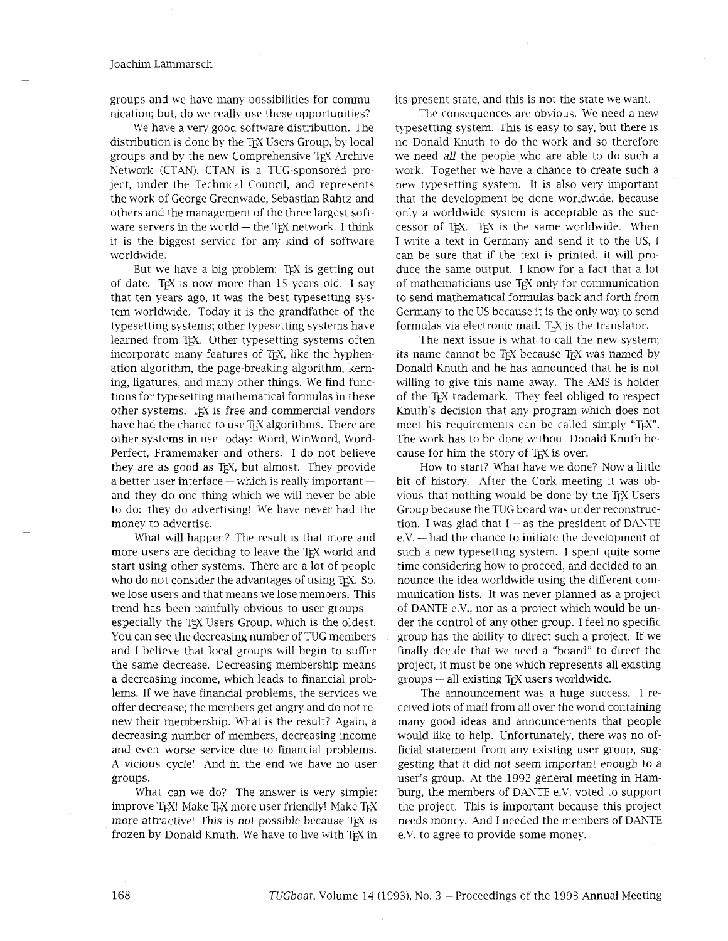groups and we have many possibilities for communication; but, do we really use these opportunities?

We have a very good software distribution. The distribution is done by the TEX Users Group, by local groups and by the new Comprehensive TEX Archive Network (CTAN). CTAN is a TUG-sponsored project, under the Technical Council, and represents the work of George Greenwade, Sebastian Rahtz and others and the management of the three largest software servers in the world  $-$  the T<sub>E</sub>X network. I think it is the biggest service for any kind of software worldwide.

But we have a big problem: TEX is getting out of date. TEX is now more than  $15$  years old. I say that ten years ago, it was the best typesetting system worldwide. Today it is the grandfather of the typesetting systems; other typesetting systems have learned from TEX. Other typesetting systems often incorporate many features of TEX, like the hyphenation algorithm, the page-breaking algorithm, kerning, ligatures, and many other things. We find functions for typesetting mathematical formulas in these other systems. TEX is free and commercial vendors have had the chance to use TEX algorithms. There are other systems in use today: Word, WinWord, Word-Perfect, Framemaker and others. I do not believe they are as good as T<sub>EX</sub>, but almost. They provide<br>a better user interface — which is really important and they do one thing which we will never be able to do: they do advertising! We have never had the money to advertise.

What will happen? The result is that more and more users are deciding to leave the T<sub>EX</sub> world and start using other systems. There are a lot of people who do not consider the advantages of using T<sub>F</sub>X. So, we lose users and that means we lose members. This trend has been painfully obvious to user groups especially the TEX Users Group, which is the oldest. You can see the decreasing number of TUG members and I believe that local groups will begin to suffer the same decrease. Decreasing membership means a decreasing income, whch leads to financial problems. If we have financial problems, the services we offer decrease; the members get angry and do not renew their membership. What is the result? Again, a decreasing number of members, decreasing income and even worse service due to financial problems. A vicious cycle! And in the end we have no user groups.

What can we do? The answer is very simple: improve TEX! Make TEX more user friendly! Make TEX more attractive! This is not possible because TEX is frozen by Donald Knuth. We have to live with T<sub>F</sub>X in its present state, and this is not the state we want.

The consequences are obvious. We need a new typesetting system. This is easy to say, but there is no Donald Knuth to do the work and so therefore we need all the people who are able to do such a work. Together we have a chance to create such a new typesetting system. It is also very important that the development be done worldwide, because only a worldwide system is acceptable as the successor of TEX. TEX is the same worldwide. When I write a text in Germany and send it to the US, I can be sure that if the text is printed, it will produce the same output. I know for a fact that a lot of mathematicians use TEX only for communication to send mathematical formulas back and forth from Germany to the US because it is the only way to send formulas via electronic mail. TEX is the translator.

The next issue is what to call the new system; its name cannot be TEX because TEX was named by Donald Knuth and he has announced that he is not willing to give this name away. The AMS is holder of the TEX trademark. They feel obliged to respect Knuth's decision that any program which does not meet his requirements can be called simply "TEX". The work has to be done without Donald Knuth because for him the story of TEX is over.

How to start? What have we done? Now a little bit of history. After the Cork meeting it was obvious that nothing would be done by the TEX Users Group because the TUG board was under reconstruction. I was glad that I - as the president of DANTE<br>tion. I was glad that I - as the president of DANTE  $\frac{1}{2}$  is the chance to initiate the development of DANTE e.V. — had the chance to initiate the development of such a new typesetting system. I spent quite some time considering how to proceed, and decided to announce the idea worldwide using the different communication lists. It was never planned as a project of DANTE e.V., nor as a project which would be under the control of any other group. I feel no specific group has the ability to direct such a project. If we finally decide that we need a "board" to direct the project, it must be one which represents all existing groups - all existing TEX users worldwide.

The announcement was a huge success. I received lots of mail from all over the world containing many good ideas and announcements that people would like to help. Unfortunately, there was no official statement from any existing user group, suggesting that it did not seem important enough to a user's group. At the 1992 general meeting in Hamburg, the members of DANTE e.V. voted to support the project. This is important because ths project needs money. And I needed the members of DANTE e.V. to agree to provide some money.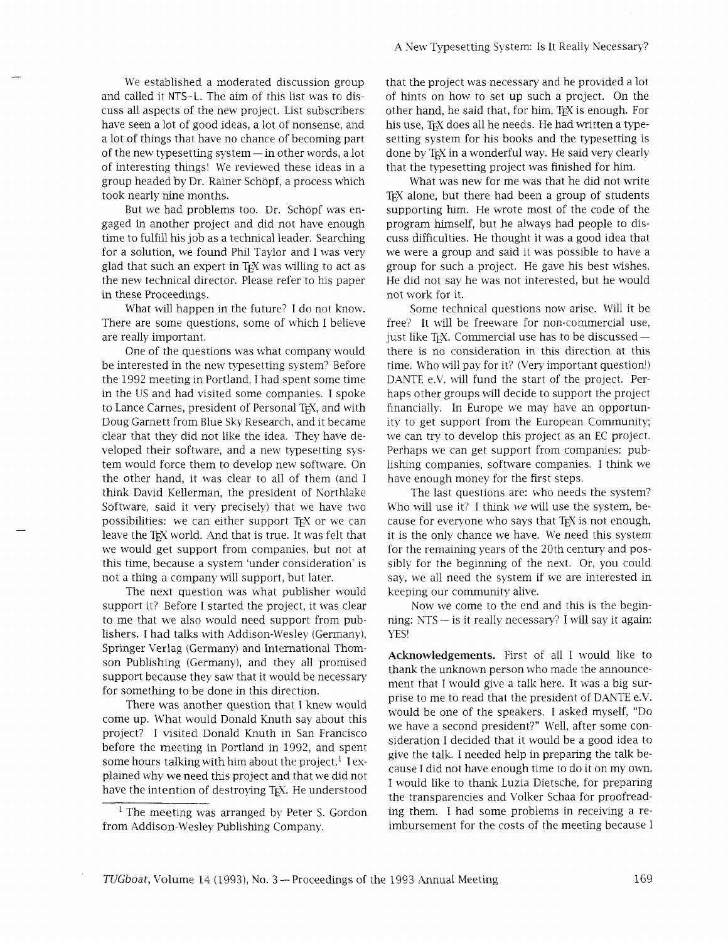We established a moderated discussion group and called it NTS-L. The aim of this list was to discuss all aspects of the new project. List subscribers have seen a lot of good ideas, a lot of nonsense, and a lot of things that have no chance of becoming part of the new typesetting system — in other words, a lot of interesting things! We reviewed these ideas in a group headed by Dr. Rainer Schopf, a process which took nearly nine months.

But we had problems too. Dr. Schöpf was engaged in another project and did not have enough time to fulfill his job as a technical leader. Searching for a solution, we found Phil Taylor and I was very glad that such an expert in T<sub>EX</sub> was willing to act as the new technical director. Please refer to his paper in these Proceedings.

What will happen in the future? I do not know. There are some questions, some of which I believe are really important.

One of the questions was what company would be interested in the new typesetting system? Before the 1992 meeting in Portland, I had spent some time in the US and had visited some companies. I spoke to Lance Carnes, president of Personal TFX, and with Doug Garnett from Blue Sky Research, and it became clear that they did not like the idea. They have developed their software, and a new typesetting system would force them to develop new software. On the other hand, it was clear to all of them (and I think David Kellerman, the president of Northlake Software, said it very precisely) that we have two possibilities: we can either support T<sub>F</sub>X or we can leave the TEX world. And that is true. It was felt that we would get support from companies, but not at this time, because a system 'under consideration' is not a thing a company will support, but later.

The next question was what publisher would support it? Before I started the project, it was clear to me that we also would need support from publishers. I had talks with Addison-Wesley (Germany), Springer Verlag (Germany) and International Thomson Publishing (Germany), and they all promised support because they saw that it would be necessary for something to be done in this direction.

There was another question that I knew would come up. What would Donald Knuth say about this project? I visited Donald Knuth in San Francisco before the meeting in Portland in 1992, and spent some hours talking with him about the project.<sup>1</sup> I explained why we need ths project and that we did not have the intention of destroying TEX. He understood

<sup>1</sup> The meeting was arranged by Peter S. Gordon from Addison-Wesley Publishing Company. imbursement for the costs of the meeting because I

that the project was necessary and he provided a lot of hints on how to set up such a project. On the other hand, he said that, for him, TEX is enough. For his use, TEX does all he needs. He had written a typesetting system for his books and the typesetting is done by TEX in a wonderful way. He said very clearly that the typesetting project was finished for him.

What was new for me was that he did not write TEX alone, but there had been a group of students supporting him. He wrote most of the code of the program himself, but he always had people to discuss difficulties. He thought it was a good idea that we were a group and said it was possible to have a group for such a project. He gave his best wishes. He did not say he was not interested, but he would not work for it.

Some technical questions now arise. Will it be free? It will be freeware for non-commercial use, just like T<sub>E</sub>X. Commercial use has to be discussed there is no consideration in this direction at this time. Who will pay for it? (Very important question!) DANTE e.V. will fund the start of the project. Perhaps other groups will decide to support the project financially. In Europe we may have an opportunity to get support from the European Community; we can try to develop ths project as an EC project. Perhaps we can get support from companies: publishing companies, software companies. I think we have enough money for the first steps.

The last questions are: who needs the system? Who will use it? I think we will use the system, because for everyone who says that T<sub>F</sub>X is not enough, it is the only chance we have. We need this system for the remaining years of the 20th century and possibly for the beginning of the next. Or, you could say, we all need the system if we are interested in keeping our community alive.

Now we come to the end and this is the beginning: NTS - is it really necessary? I will say it again: YES!

**Acknowledgements.** First of all I would like to thank the unknown person who made the announcement that I would give a talk here. It was a big surprise to me to read that the president of DANTE e.V. would be one of the speakers. I asked myself, "Do we have a second president?" Well, after some consideration I decided that it would be a good idea to give the talk. I needed help in preparing the talk because I did not have enough time to do it on my own. I would like to thank Luzia Dietsche, for preparing the transparencies and Volker Schaa for proofreading them. I had some problems in receiving a re-